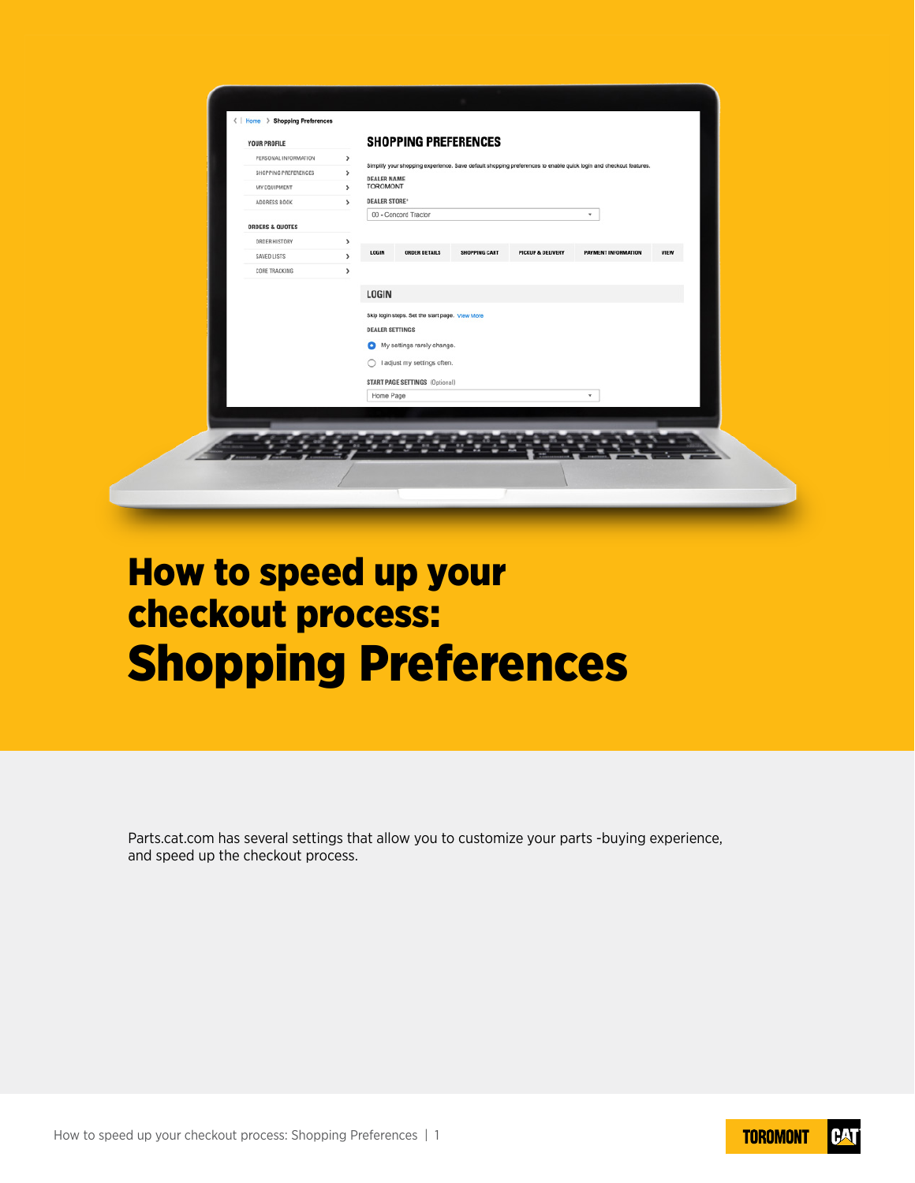| PERSONAL INFORMATION<br>$\rightarrow$<br>Simplify your shopping experience. Save default shopping preferences to enable quick login and checkout features.<br>SHOPPING PREFERENCES<br>$\,$<br><b>DEALER NAME</b><br><b>TOROMONT</b><br>MY EQUIPMENT<br>$\rightarrow$<br><b>DEALER STORE*</b><br>$\,$<br>ADDRESS BOOK<br>00 - Concord Tractor<br>$\overline{\phantom{a}}$<br><b>ORDERS &amp; QUOTES</b><br>ORDER HISTORY<br>$\rightarrow$<br>VIEW<br>LOGIN<br><b>ORDER DETAILS</b><br><b>PAYMENT INFORMATION</b><br><b>SHOPPING CART</b><br>PICKUP & DELIVERY<br>,<br>SAVED LISTS<br>CORE TRACKING<br>$\,$<br><b>LOGIN</b><br>Skip login steps. Set the start page. View More<br><b>DEALER SETTINGS</b><br>My settings rarely change.<br>○ I adjust my settings often.<br>START PAGE SETTINGS (Optional) | YOUR PROFILE |           | <b>SHOPPING PREFERENCES</b> |   |  |
|---------------------------------------------------------------------------------------------------------------------------------------------------------------------------------------------------------------------------------------------------------------------------------------------------------------------------------------------------------------------------------------------------------------------------------------------------------------------------------------------------------------------------------------------------------------------------------------------------------------------------------------------------------------------------------------------------------------------------------------------------------------------------------------------------------|--------------|-----------|-----------------------------|---|--|
|                                                                                                                                                                                                                                                                                                                                                                                                                                                                                                                                                                                                                                                                                                                                                                                                         |              |           |                             |   |  |
|                                                                                                                                                                                                                                                                                                                                                                                                                                                                                                                                                                                                                                                                                                                                                                                                         |              |           |                             |   |  |
|                                                                                                                                                                                                                                                                                                                                                                                                                                                                                                                                                                                                                                                                                                                                                                                                         |              |           |                             |   |  |
|                                                                                                                                                                                                                                                                                                                                                                                                                                                                                                                                                                                                                                                                                                                                                                                                         |              |           |                             |   |  |
|                                                                                                                                                                                                                                                                                                                                                                                                                                                                                                                                                                                                                                                                                                                                                                                                         |              |           |                             |   |  |
|                                                                                                                                                                                                                                                                                                                                                                                                                                                                                                                                                                                                                                                                                                                                                                                                         |              |           |                             |   |  |
|                                                                                                                                                                                                                                                                                                                                                                                                                                                                                                                                                                                                                                                                                                                                                                                                         |              |           |                             |   |  |
|                                                                                                                                                                                                                                                                                                                                                                                                                                                                                                                                                                                                                                                                                                                                                                                                         |              |           |                             |   |  |
|                                                                                                                                                                                                                                                                                                                                                                                                                                                                                                                                                                                                                                                                                                                                                                                                         |              | Home Page |                             | v |  |
|                                                                                                                                                                                                                                                                                                                                                                                                                                                                                                                                                                                                                                                                                                                                                                                                         |              |           |                             |   |  |

# How to speed up your checkout process: Shopping Preferences

Parts.cat.com has several settings that allow you to customize your parts -buying experience, and speed up the checkout process.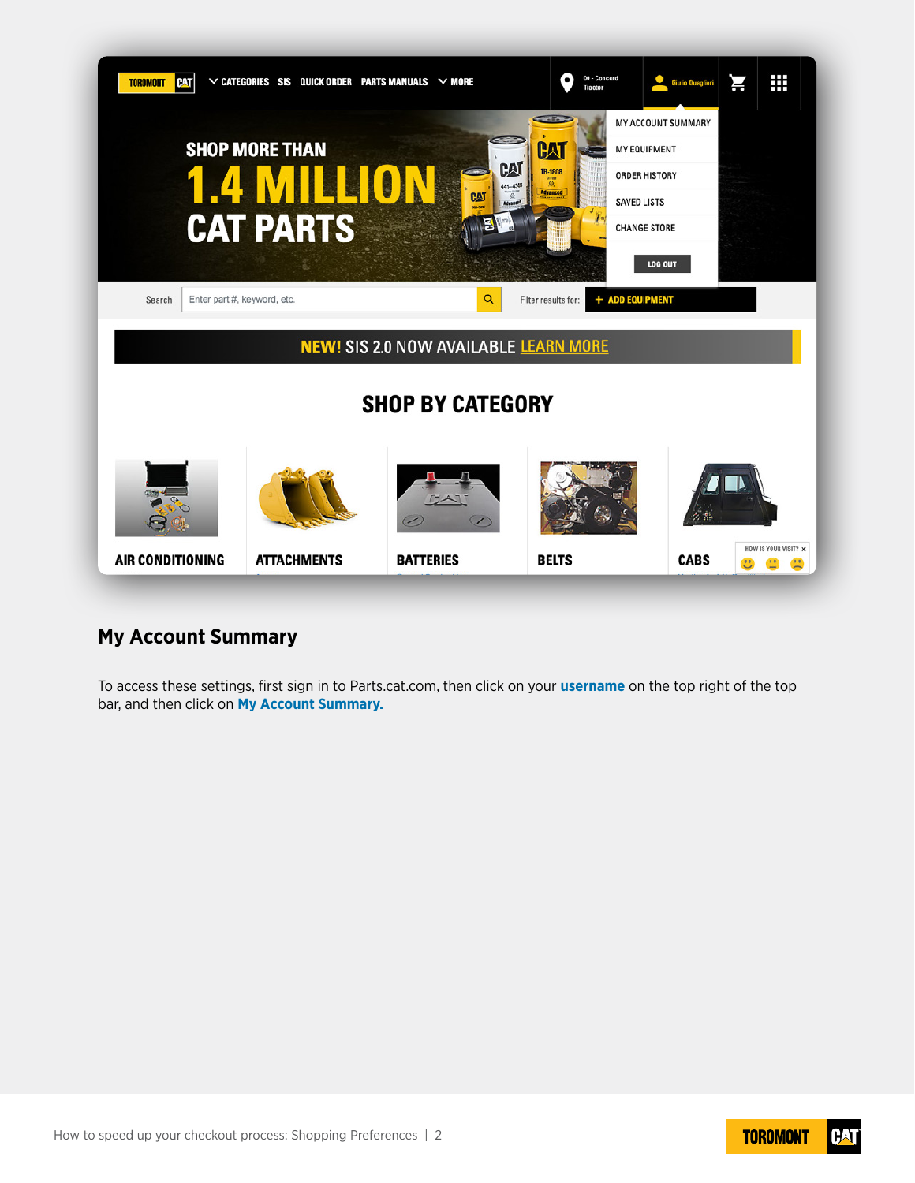

## **My Account Summary**

To access these settings, first sign in to Parts.cat.com, then click on your **username** on the top right of the top bar, and then click on **My Account Summary.**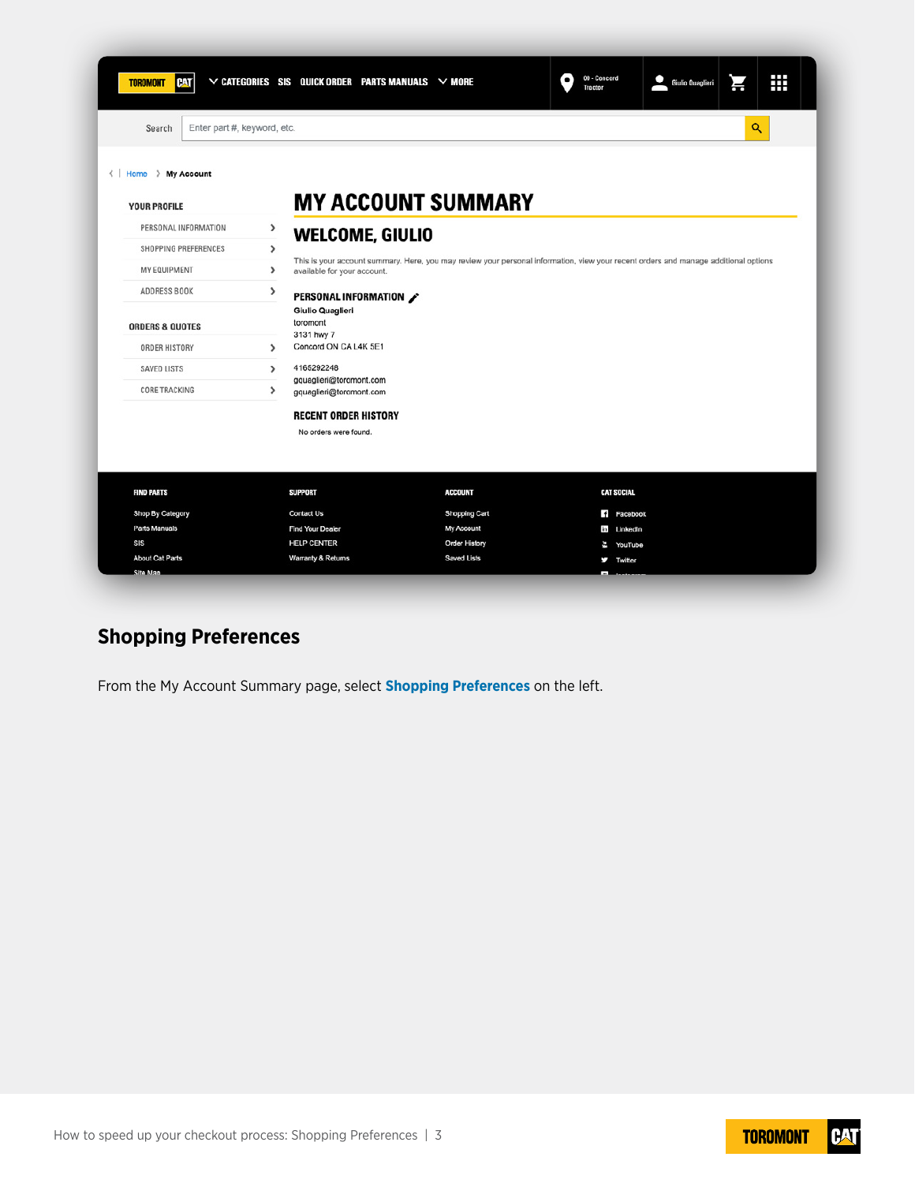|                             |                                                       |                                                                                                                                                                                                                                        | 00 - Concord<br>$\bullet$<br>Tractor                                                  | Giulio Quaglieri          | Н                                                                     | ₩                                                                                                                                   |
|-----------------------------|-------------------------------------------------------|----------------------------------------------------------------------------------------------------------------------------------------------------------------------------------------------------------------------------------------|---------------------------------------------------------------------------------------|---------------------------|-----------------------------------------------------------------------|-------------------------------------------------------------------------------------------------------------------------------------|
|                             |                                                       |                                                                                                                                                                                                                                        |                                                                                       |                           | Q                                                                     |                                                                                                                                     |
|                             |                                                       |                                                                                                                                                                                                                                        |                                                                                       |                           |                                                                       |                                                                                                                                     |
|                             |                                                       |                                                                                                                                                                                                                                        |                                                                                       |                           |                                                                       |                                                                                                                                     |
| $\rightarrow$               |                                                       |                                                                                                                                                                                                                                        |                                                                                       |                           |                                                                       |                                                                                                                                     |
| >                           |                                                       |                                                                                                                                                                                                                                        |                                                                                       |                           |                                                                       |                                                                                                                                     |
| $\lambda$                   |                                                       |                                                                                                                                                                                                                                        |                                                                                       |                           |                                                                       |                                                                                                                                     |
| ,                           |                                                       |                                                                                                                                                                                                                                        |                                                                                       |                           |                                                                       |                                                                                                                                     |
|                             |                                                       |                                                                                                                                                                                                                                        |                                                                                       |                           |                                                                       |                                                                                                                                     |
|                             |                                                       |                                                                                                                                                                                                                                        |                                                                                       |                           |                                                                       |                                                                                                                                     |
| $\rightarrow$               |                                                       |                                                                                                                                                                                                                                        |                                                                                       |                           |                                                                       |                                                                                                                                     |
| 4165292248<br>$\rightarrow$ |                                                       |                                                                                                                                                                                                                                        |                                                                                       |                           |                                                                       |                                                                                                                                     |
| >                           |                                                       |                                                                                                                                                                                                                                        |                                                                                       |                           |                                                                       |                                                                                                                                     |
|                             |                                                       |                                                                                                                                                                                                                                        |                                                                                       |                           |                                                                       |                                                                                                                                     |
|                             |                                                       |                                                                                                                                                                                                                                        |                                                                                       |                           |                                                                       |                                                                                                                                     |
|                             |                                                       |                                                                                                                                                                                                                                        |                                                                                       |                           |                                                                       |                                                                                                                                     |
| <b>SUPPORT</b>              |                                                       | <b>ACCOUNT</b>                                                                                                                                                                                                                         |                                                                                       |                           |                                                                       |                                                                                                                                     |
| Contact Us                  |                                                       | Shopping Cart                                                                                                                                                                                                                          |                                                                                       |                           |                                                                       |                                                                                                                                     |
| <b>Find Your Dealer</b>     |                                                       | My Account                                                                                                                                                                                                                             |                                                                                       |                           |                                                                       |                                                                                                                                     |
| <b>HELP CENTER</b>          |                                                       | <b>Order History</b>                                                                                                                                                                                                                   | ł,                                                                                    |                           |                                                                       |                                                                                                                                     |
|                             |                                                       | <b>Saved Lists</b>                                                                                                                                                                                                                     | J                                                                                     |                           |                                                                       |                                                                                                                                     |
|                             | Enter part #, keyword, etc.<br>toromont<br>3131 hwy 7 | available for your account.<br>PERSONAL INFORMATION /<br>Giulio Quaglieri<br>Concord ON CA L4K 5E1<br>gquaglieri@toromont.com<br>gquaglieri@toromont.com<br><b>RECENT ORDER HISTORY</b><br>No orders were found.<br>Warranty & Returns | $\vee$ categories SIS Quick order parts manuals $\vee$ more<br><b>WELCOME, GIULIO</b> | <b>MY ACCOUNT SUMMARY</b> | <b>CAT SOCIAL</b><br>f Facebook<br>tin LinkedIn<br>YouTube<br>Twitter | This is your account summary. Here, you may review your personal information, view your recent orders and manage additional options |

## **Shopping Preferences**

From the My Account Summary page, select **Shopping Preferences** on the left.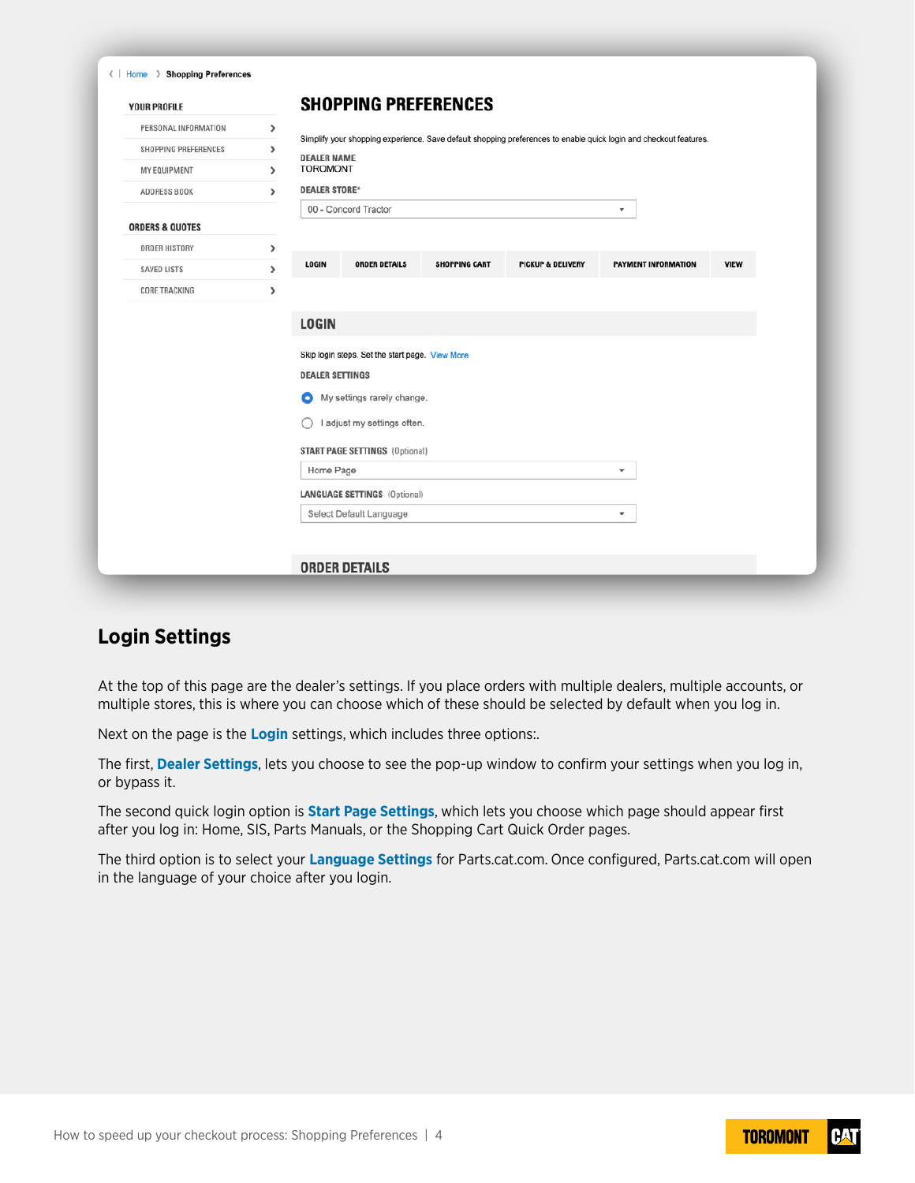| <b>YOUR PROFILE</b>        |               |                                                                           | <b>SHOPPING PREFERENCES</b>           |                      |                                                                                                                   |                         |             |
|----------------------------|---------------|---------------------------------------------------------------------------|---------------------------------------|----------------------|-------------------------------------------------------------------------------------------------------------------|-------------------------|-------------|
| PERSONAL INFORMATION       | >             |                                                                           |                                       |                      | Simplify your shopping experience. Save default shopping preferences to enable quick login and checkout features. |                         |             |
| SHOPPING PREFERENCES       | $\lambda$     | <b>DEALER NAME</b>                                                        |                                       |                      |                                                                                                                   |                         |             |
| MY EQUIPMENT               | $\mathcal{P}$ | <b>TOROMONT</b>                                                           |                                       |                      |                                                                                                                   |                         |             |
| ADDRESS BOOK               | $\lambda$     | <b>DEALER STORE*</b>                                                      |                                       |                      |                                                                                                                   |                         |             |
|                            |               |                                                                           | 00 - Concord Tractor                  |                      |                                                                                                                   | $\overline{\mathbf{v}}$ |             |
| <b>ORDERS &amp; QUOTES</b> |               |                                                                           |                                       |                      |                                                                                                                   |                         |             |
| ORDER HISTORY              | ,             | <b>LOGIN</b>                                                              | <b>ORDER DETAILS</b>                  | <b>SHOPPING CART</b> | <b>PICKUP &amp; DELIVERY</b>                                                                                      | PAYMENT INFORMATION     | <b>VIEW</b> |
| SAVED LISTS                | $\rightarrow$ |                                                                           |                                       |                      |                                                                                                                   |                         |             |
| CORE TRACKING              | ,             |                                                                           |                                       |                      |                                                                                                                   |                         |             |
|                            |               | <b>LOGIN</b>                                                              |                                       |                      |                                                                                                                   |                         |             |
|                            |               |                                                                           |                                       |                      |                                                                                                                   |                         |             |
|                            |               | Skip login steps. Set the start page. View More<br><b>DEALER SETTINGS</b> |                                       |                      |                                                                                                                   |                         |             |
|                            |               |                                                                           |                                       |                      |                                                                                                                   |                         |             |
|                            |               | o                                                                         | My settings rarely change.            |                      |                                                                                                                   |                         |             |
|                            |               | Ω                                                                         | I adjust my settings often.           |                      |                                                                                                                   |                         |             |
|                            |               |                                                                           | <b>START PAGE SETTINGS (Optional)</b> |                      |                                                                                                                   |                         |             |
|                            |               | Home Page                                                                 |                                       |                      |                                                                                                                   | $\mathbf{v}$            |             |
|                            |               |                                                                           | <b>LANGUAGE SETTINGS (Optional)</b>   |                      |                                                                                                                   |                         |             |
|                            |               |                                                                           | Select Default Language               |                      |                                                                                                                   | $\overline{\mathbf{v}}$ |             |
|                            |               |                                                                           |                                       |                      |                                                                                                                   |                         |             |
|                            |               |                                                                           |                                       |                      |                                                                                                                   |                         |             |

## **Login Settings**

At the top of this page are the dealer's settings. If you place orders with multiple dealers, multiple accounts, or multiple stores, this is where you can choose which of these should be selected by default when you log in.

Next on the page is the **Login** settings, which includes three options:.

The first, **Dealer Settings**, lets you choose to see the pop-up window to confirm your settings when you log in, or bypass it.

The second quick login option is **Start Page Settings**, which lets you choose which page should appear first after you log in: Home, SIS, Parts Manuals, or the Shopping Cart Quick Order pages.

The third option is to select your **Language Settings** for Parts.cat.com. Once configured, Parts.cat.com will open in the language of your choice after you login.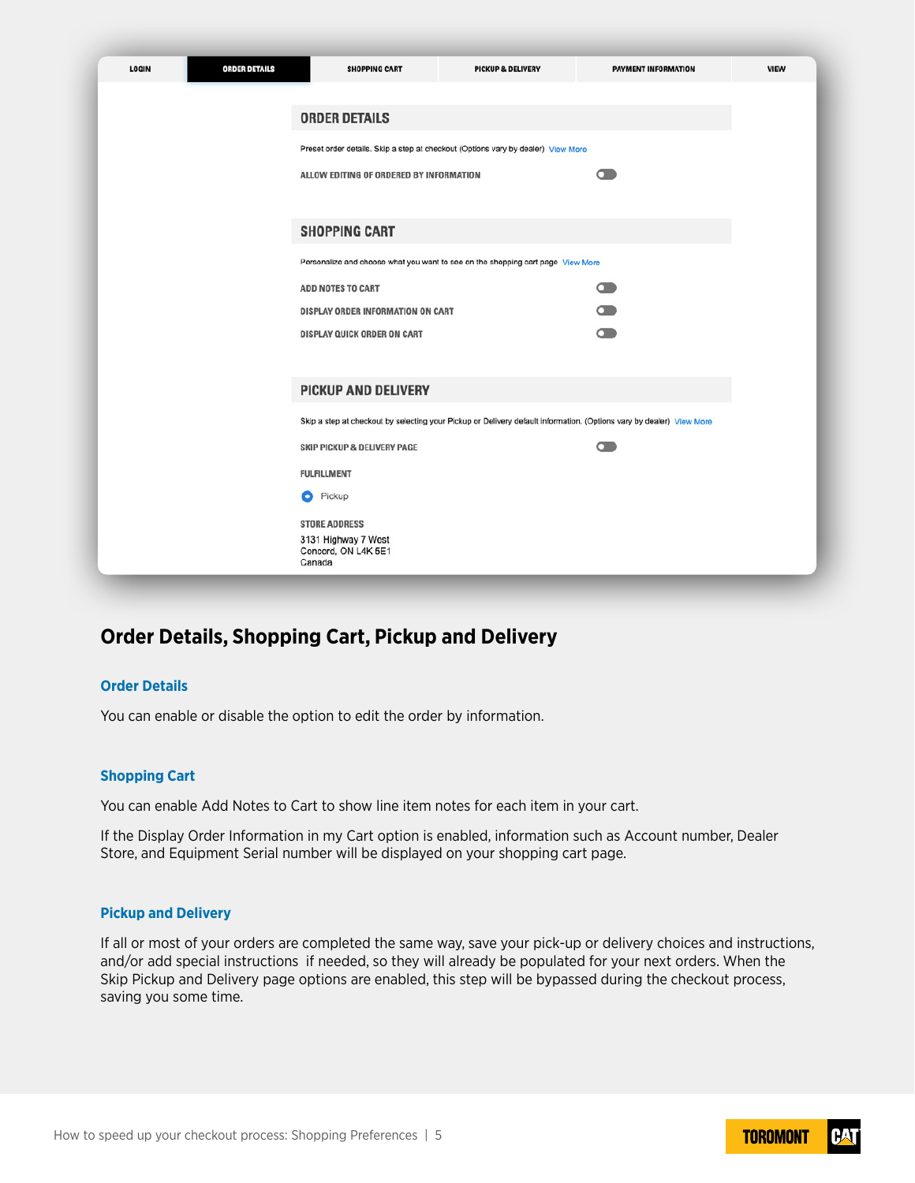| <b>LOGIN</b> | <b>ORDER DETAILS</b> | <b>SHOPPING CART</b>                       | <b>PICKUP &amp; DELIVERY</b>                                                                                         | PAYMENT INFORMATION |  |
|--------------|----------------------|--------------------------------------------|----------------------------------------------------------------------------------------------------------------------|---------------------|--|
|              |                      |                                            |                                                                                                                      |                     |  |
|              |                      | <b>ORDER DETAILS</b>                       |                                                                                                                      |                     |  |
|              |                      |                                            | Preset order details. Skip a step at checkout (Options vary by dealer) View More                                     |                     |  |
|              |                      | ALLOW EDITING OF ORDERED BY INFORMATION    |                                                                                                                      | െ                   |  |
|              |                      |                                            |                                                                                                                      |                     |  |
|              |                      | <b>SHOPPING CART</b>                       |                                                                                                                      |                     |  |
|              |                      |                                            |                                                                                                                      |                     |  |
|              |                      |                                            | Personalize and choose what you want to see on the shopping cart page View More                                      |                     |  |
|              |                      | ADD NOTES TO CART                          |                                                                                                                      | $\bullet$           |  |
|              |                      | DISPLAY ORDER INFORMATION ON CART          |                                                                                                                      | $\Box$              |  |
|              |                      | DISPLAY QUICK ORDER ON CART                |                                                                                                                      | െ                   |  |
|              |                      |                                            |                                                                                                                      |                     |  |
|              |                      | <b>PICKUP AND DELIVERY</b>                 |                                                                                                                      |                     |  |
|              |                      |                                            | Skip a step at checkout by selecting your Pickup or Delivery default information. (Options vary by dealer) View More |                     |  |
|              |                      | <b>SKIP PICKUP &amp; DELIVERY PAGE</b>     |                                                                                                                      | െ                   |  |
|              |                      | <b>FULFILLMENT</b>                         |                                                                                                                      |                     |  |
|              |                      | Pickup<br>ο                                |                                                                                                                      |                     |  |
|              |                      | <b>STORE ADDRESS</b>                       |                                                                                                                      |                     |  |
|              |                      | 3131 Highway 7 West<br>Concord, ON L4K 5E1 |                                                                                                                      |                     |  |
|              |                      | Canada                                     |                                                                                                                      |                     |  |

## **Order Details, Shopping Cart, Pickup and Delivery**

#### **Order Details**

You can enable or disable the option to edit the order by information.

#### **Shopping Cart**

You can enable Add Notes to Cart to show line item notes for each item in your cart.

If the Display Order Information in my Cart option is enabled, information such as Account number, Dealer Store, and Equipment Serial number will be displayed on your shopping cart page.

#### **Pickup and Delivery**

If all or most of your orders are completed the same way, save your pick-up or delivery choices and instructions, and/or add special instructions if needed, so they will already be populated for your next orders. When the Skip Pickup and Delivery page options are enabled, this step will be bypassed during the checkout process, saving you some time.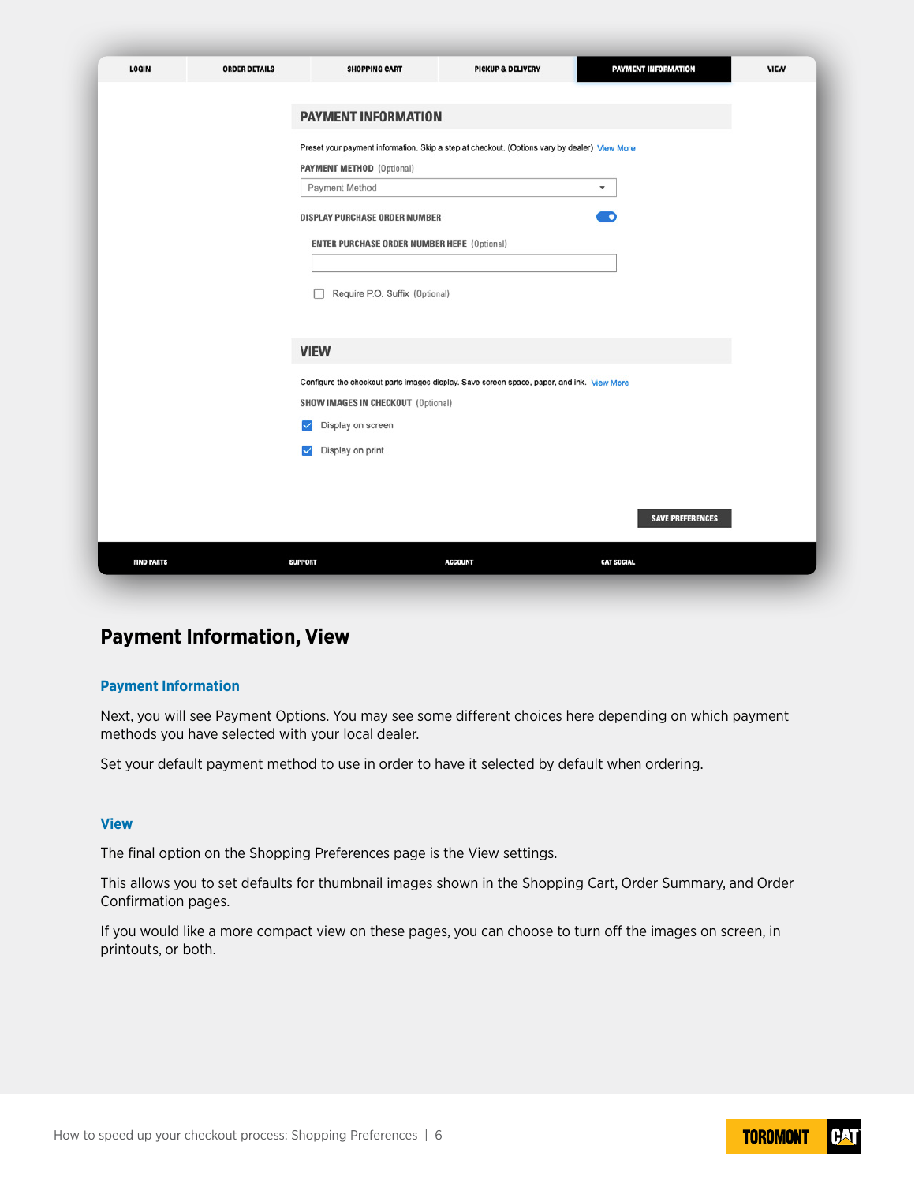| LOGIN             | <b>ORDER DETAILS</b> | <b>SHOPPING CART</b>                               | PICKUP & DELIVERY                                                                            | PAYMENT INFORMATION      | <b>VIEW</b> |
|-------------------|----------------------|----------------------------------------------------|----------------------------------------------------------------------------------------------|--------------------------|-------------|
|                   |                      | <b>PAYMENT INFORMATION</b>                         |                                                                                              |                          |             |
|                   |                      | <b>PAYMENT METHOD</b> (Optional)<br>Payment Method | Preset your payment information. Skip a step at checkout. (Options vary by dealer) View More | $\overline{\phantom{a}}$ |             |
|                   |                      | DISPLAY PURCHASE ORDER NUMBER                      |                                                                                              | D                        |             |
|                   |                      | <b>ENTER PURCHASE ORDER NUMBER HERE (Optional)</b> |                                                                                              |                          |             |
|                   |                      | Require P.O. Suffix (Optional)                     |                                                                                              |                          |             |
|                   |                      | <b>VIEW</b>                                        |                                                                                              |                          |             |
|                   |                      | <b>SHOW IMAGES IN CHECKOUT (Optional)</b>          | Configure the checkout parts images display. Save screen space, paper, and ink. View More    |                          |             |
|                   |                      | Display on screen<br>☑<br>Display on print<br>✓    |                                                                                              |                          |             |
|                   |                      |                                                    |                                                                                              |                          |             |
|                   |                      |                                                    |                                                                                              | <b>SAVE PREFERENCES</b>  |             |
| <b>FIND PARTS</b> |                      | <b>SUPPORT</b>                                     | <b>ACCOUNT</b>                                                                               | <b>CAT SOCIAL</b>        |             |

### **Payment Information, View**

#### **Payment Information**

Next, you will see Payment Options. You may see some different choices here depending on which payment methods you have selected with your local dealer.

Set your default payment method to use in order to have it selected by default when ordering.

#### **View**

The final option on the Shopping Preferences page is the View settings.

This allows you to set defaults for thumbnail images shown in the Shopping Cart, Order Summary, and Order Confirmation pages.

If you would like a more compact view on these pages, you can choose to turn off the images on screen, in printouts, or both.